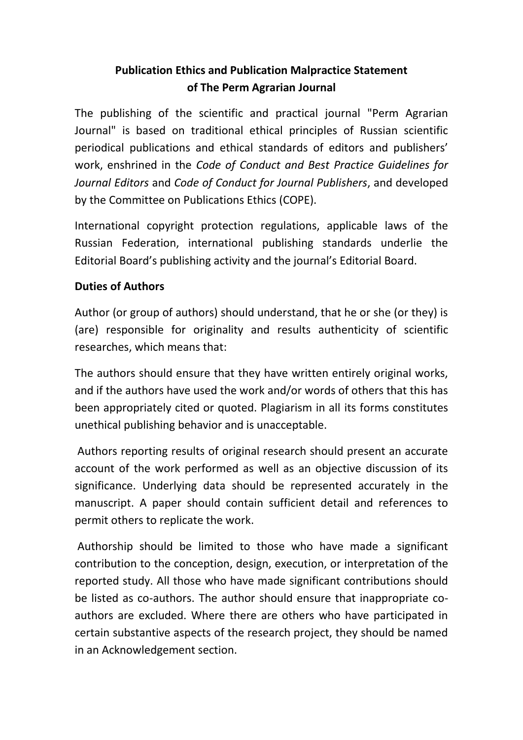# **Publication Ethics and Publication Malpractice Statement of The Perm Agrarian Journal**

The publishing of the scientific and practical journal "Perm Agrarian Journal" is based on traditional ethical principles of Russian scientific periodical publications and ethical standards of editors and publishers' work, enshrined in the *Code of Conduct and Best Practice Guidelines for Journal Editors* and *Code of Conduct for Journal Publishers*, and developed by the Committee on Publications Ethics (COPE).

International copyright protection regulations, applicable laws of the Russian Federation, international publishing standards underlie the Editorial Board's publishing activity and the journal's Editorial Board.

## **Duties of Authors**

Author (or group of authors) should understand, that he or she (or they) is (are) responsible for originality and results authenticity of scientific researches, which means that:

The authors should ensure that they have written entirely original works, and if the authors have used the work and/or words of others that this has been appropriately cited or quoted. Plagiarism in all its forms constitutes unethical publishing behavior and is unacceptable.

Authors reporting results of original research should present an accurate account of the work performed as well as an objective discussion of its significance. Underlying data should be represented accurately in the manuscript. A paper should contain sufficient detail and references to permit others to replicate the work.

Authorship should be limited to those who have made a significant contribution to the conception, design, execution, or interpretation of the reported study. All those who have made significant contributions should be listed as co-authors. The author should ensure that inappropriate coauthors are excluded. Where there are others who have participated in certain substantive aspects of the research project, they should be named in an Acknowledgement section.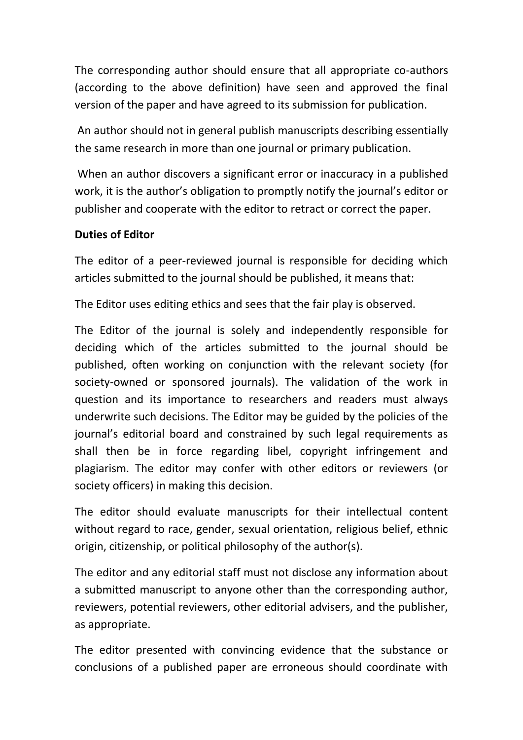The corresponding author should ensure that all appropriate co-authors (according to the above definition) have seen and approved the final version of the paper and have agreed to its submission for publication.

An author should not in general publish manuscripts describing essentially the same research in more than one journal or primary publication.

When an author discovers a significant error or inaccuracy in a published work, it is the author's obligation to promptly notify the journal's editor or publisher and cooperate with the editor to retract or correct the paper.

#### **Duties of Editor**

The editor of a peer-reviewed journal is responsible for deciding which articles submitted to the journal should be published, it means that:

The Editor uses editing ethics and sees that the fair play is observed.

The Editor of the journal is solely and independently responsible for deciding which of the articles submitted to the journal should be published, often working on conjunction with the relevant society (for society-owned or sponsored journals). The validation of the work in question and its importance to researchers and readers must always underwrite such decisions. The Editor may be guided by the policies of the journal's editorial board and constrained by such legal requirements as shall then be in force regarding libel, copyright infringement and plagiarism. The editor may confer with other editors or reviewers (or society officers) in making this decision.

The editor should evaluate manuscripts for their intellectual content without regard to race, gender, sexual orientation, religious belief, ethnic origin, citizenship, or political philosophy of the author(s).

The editor and any editorial staff must not disclose any information about a submitted manuscript to anyone other than the corresponding author, reviewers, potential reviewers, other editorial advisers, and the publisher, as appropriate.

The editor presented with convincing evidence that the substance or conclusions of a published paper are erroneous should coordinate with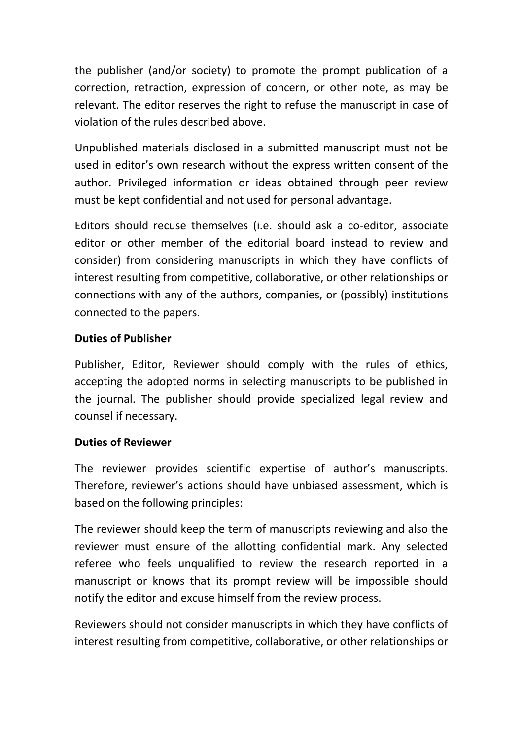the publisher (and/or society) to promote the prompt publication of a correction, retraction, expression of concern, or other note, as may be relevant. The editor reserves the right to refuse the manuscript in case of violation of the rules described above.

Unpublished materials disclosed in a submitted manuscript must not be used in editor's own research without the express written consent of the author. Privileged information or ideas obtained through peer review must be kept confidential and not used for personal advantage.

Editors should recuse themselves (i.e. should ask a co-editor, associate editor or other member of the editorial board instead to review and consider) from considering manuscripts in which they have conflicts of interest resulting from competitive, collaborative, or other relationships or connections with any of the authors, companies, or (possibly) institutions connected to the papers.

## **Duties of Publisher**

Publisher, Editor, Reviewer should comply with the rules of ethics, accepting the adopted norms in selecting manuscripts to be published in the journal. The publisher should provide specialized legal review and counsel if necessary.

### **Duties of Reviewer**

The reviewer provides scientific expertise of author's manuscripts. Therefore, reviewer's actions should have unbiased assessment, which is based on the following principles:

The reviewer should keep the term of manuscripts reviewing and also the reviewer must ensure of the allotting confidential mark. Any selected referee who feels unqualified to review the research reported in a manuscript or knows that its prompt review will be impossible should notify the editor and excuse himself from the review process.

Reviewers should not consider manuscripts in which they have conflicts of interest resulting from competitive, collaborative, or other relationships or